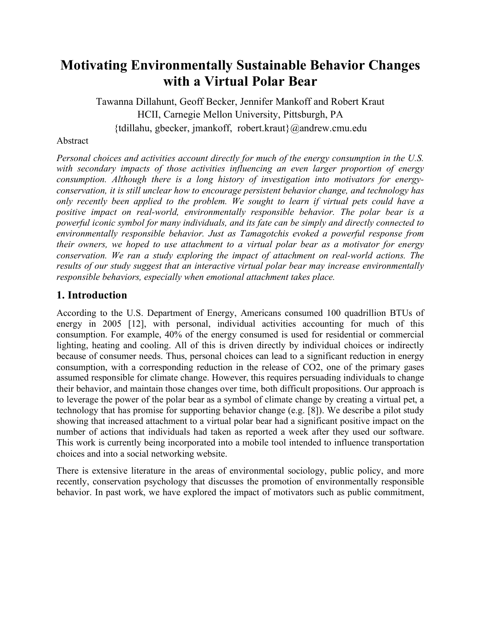# **Motivating Environmentally Sustainable Behavior Changes with a Virtual Polar Bear**

Tawanna Dillahunt, Geoff Becker, Jennifer Mankoff and Robert Kraut HCII, Carnegie Mellon University, Pittsburgh, PA {tdillahu, gbecker, jmankoff, robert.kraut}@andrew.cmu.edu

#### Abstract

*Personal choices and activities account directly for much of the energy consumption in the U.S. with secondary impacts of those activities influencing an even larger proportion of energy consumption. Although there is a long history of investigation into motivators for energyconservation, it is still unclear how to encourage persistent behavior change, and technology has only recently been applied to the problem. We sought to learn if virtual pets could have a positive impact on real-world, environmentally responsible behavior. The polar bear is a powerful iconic symbol for many individuals, and its fate can be simply and directly connected to environmentally responsible behavior. Just as Tamagotchis evoked a powerful response from their owners, we hoped to use attachment to a virtual polar bear as a motivator for energy conservation. We ran a study exploring the impact of attachment on real-world actions. The results of our study suggest that an interactive virtual polar bear may increase environmentally responsible behaviors, especially when emotional attachment takes place.*

## **1. Introduction**

According to the U.S. Department of Energy, Americans consumed 100 quadrillion BTUs of energy in 2005 [12], with personal, individual activities accounting for much of this consumption. For example, 40% of the energy consumed is used for residential or commercial lighting, heating and cooling. All of this is driven directly by individual choices or indirectly because of consumer needs. Thus, personal choices can lead to a significant reduction in energy consumption, with a corresponding reduction in the release of CO2, one of the primary gases assumed responsible for climate change. However, this requires persuading individuals to change their behavior, and maintain those changes over time, both difficult propositions. Our approach is to leverage the power of the polar bear as a symbol of climate change by creating a virtual pet, a technology that has promise for supporting behavior change (e.g. [8]). We describe a pilot study showing that increased attachment to a virtual polar bear had a significant positive impact on the number of actions that individuals had taken as reported a week after they used our software. This work is currently being incorporated into a mobile tool intended to influence transportation choices and into a social networking website.

There is extensive literature in the areas of environmental sociology, public policy, and more recently, conservation psychology that discusses the promotion of environmentally responsible behavior. In past work, we have explored the impact of motivators such as public commitment,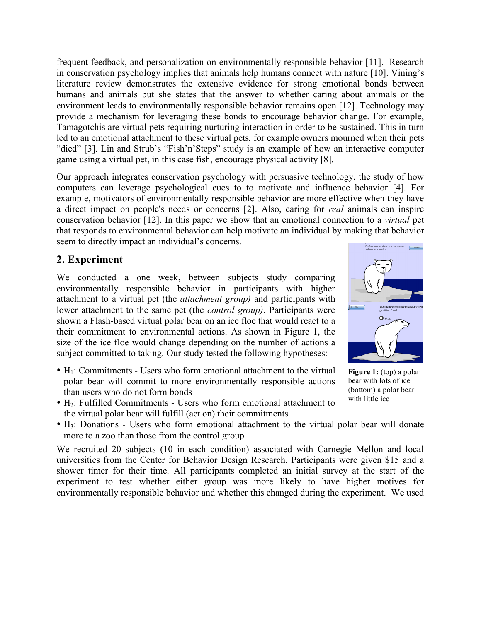frequent feedback, and personalization on environmentally responsible behavior [11]. Research in conservation psychology implies that animals help humans connect with nature [10]. Vining's literature review demonstrates the extensive evidence for strong emotional bonds between humans and animals but she states that the answer to whether caring about animals or the environment leads to environmentally responsible behavior remains open [12]. Technology may provide a mechanism for leveraging these bonds to encourage behavior change. For example, Tamagotchis are virtual pets requiring nurturing interaction in order to be sustained. This in turn led to an emotional attachment to these virtual pets, for example owners mourned when their pets "died" [3]. Lin and Strub's "Fish'n'Steps" study is an example of how an interactive computer game using a virtual pet, in this case fish, encourage physical activity [8].

Our approach integrates conservation psychology with persuasive technology, the study of how computers can leverage psychological cues to to motivate and influence behavior [4]. For example, motivators of environmentally responsible behavior are more effective when they have a direct impact on people's needs or concerns [2]. Also, caring for *real* animals can inspire conservation behavior [12]. In this paper we show that an emotional connection to a *virtual* pet that responds to environmental behavior can help motivate an individual by making that behavior seem to directly impact an individual's concerns.

## **2. Experiment**

We conducted a one week, between subjects study comparing environmentally responsible behavior in participants with higher attachment to a virtual pet (the *attachment group)* and participants with lower attachment to the same pet (the *control group)*. Participants were shown a Flash-based virtual polar bear on an ice floe that would react to a their commitment to environmental actions. As shown in Figure 1, the size of the ice floe would change depending on the number of actions a subject committed to taking. Our study tested the following hypotheses:

- $\bullet$  H<sub>1</sub>: Commitments Users who form emotional attachment to the virtual polar bear will commit to more environmentally responsible actions than users who do not form bonds
- $\bullet$  H<sub>2</sub>: Fulfilled Commitments Users who form emotional attachment to the virtual polar bear will fulfill (act on) their commitments
- H3: Donations Users who form emotional attachment to the virtual polar bear will donate more to a zoo than those from the control group

We recruited 20 subjects (10 in each condition) associated with Carnegie Mellon and local universities from the Center for Behavior Design Research. Participants were given \$15 and a shower timer for their time. All participants completed an initial survey at the start of the experiment to test whether either group was more likely to have higher motives for environmentally responsible behavior and whether this changed during the experiment. We used



**Figure 1:** (top) a polar bear with lots of ice (bottom) a polar bear with little ice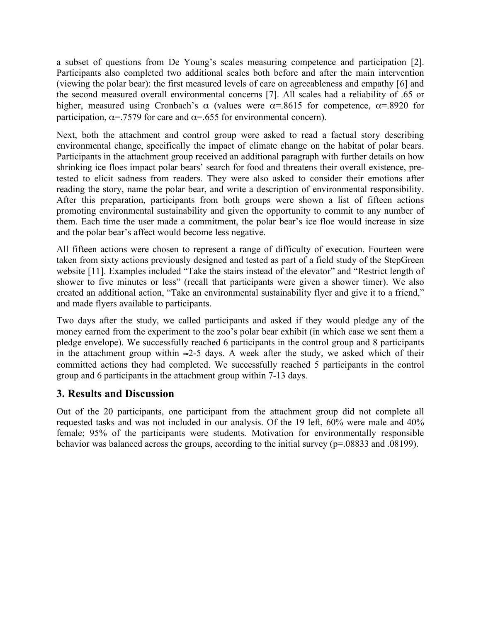a subset of questions from De Young's scales measuring competence and participation [2]. Participants also completed two additional scales both before and after the main intervention (viewing the polar bear): the first measured levels of care on agreeableness and empathy [6] and the second measured overall environmental concerns [7]. All scales had a reliability of .65 or higher, measured using Cronbach's  $\alpha$  (values were  $\alpha$ =.8615 for competence,  $\alpha$ =.8920 for participation,  $\alpha$ =.7579 for care and  $\alpha$ =.655 for environmental concern).

Next, both the attachment and control group were asked to read a factual story describing environmental change, specifically the impact of climate change on the habitat of polar bears. Participants in the attachment group received an additional paragraph with further details on how shrinking ice floes impact polar bears' search for food and threatens their overall existence, pretested to elicit sadness from readers. They were also asked to consider their emotions after reading the story, name the polar bear, and write a description of environmental responsibility. After this preparation, participants from both groups were shown a list of fifteen actions promoting environmental sustainability and given the opportunity to commit to any number of them. Each time the user made a commitment, the polar bear's ice floe would increase in size and the polar bear's affect would become less negative.

All fifteen actions were chosen to represent a range of difficulty of execution. Fourteen were taken from sixty actions previously designed and tested as part of a field study of the StepGreen website [11]. Examples included "Take the stairs instead of the elevator" and "Restrict length of shower to five minutes or less" (recall that participants were given a shower timer). We also created an additional action, "Take an environmental sustainability flyer and give it to a friend," and made flyers available to participants.

Two days after the study, we called participants and asked if they would pledge any of the money earned from the experiment to the zoo's polar bear exhibit (in which case we sent them a pledge envelope). We successfully reached 6 participants in the control group and 8 participants in the attachment group within  $\approx$ 2-5 days. A week after the study, we asked which of their committed actions they had completed. We successfully reached 5 participants in the control group and 6 participants in the attachment group within 7-13 days.

## **3. Results and Discussion**

Out of the 20 participants, one participant from the attachment group did not complete all requested tasks and was not included in our analysis. Of the 19 left, 60% were male and 40% female; 95% of the participants were students. Motivation for environmentally responsible behavior was balanced across the groups, according to the initial survey (p=.08833 and .08199).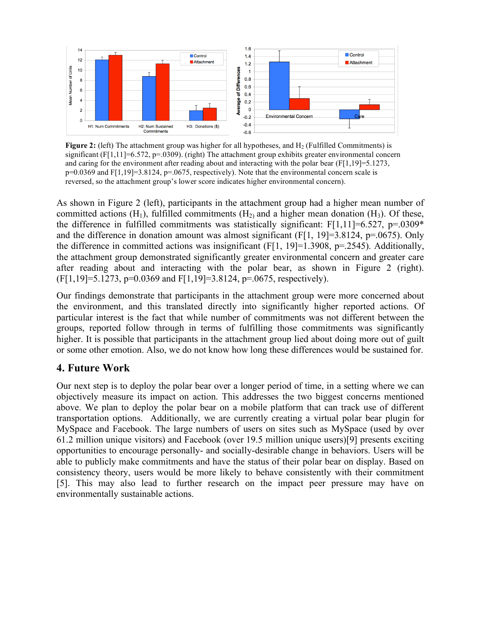

**Figure 2:** (left) The attachment group was higher for all hypotheses, and H<sub>2</sub> (Fulfilled Commitments) is significant  $(F[1,11] = 6.572, p = .0309)$ . (right) The attachment group exhibits greater environmental concern and caring for the environment after reading about and interacting with the polar bear ( $F[1,19]=5.1273$ , p=0.0369 and F[1,19]=3.8124, p=.0675, respectively). Note that the environmental concern scale is reversed, so the attachment group's lower score indicates higher environmental concern).

As shown in Figure 2 (left), participants in the attachment group had a higher mean number of committed actions  $(H_1)$ , fulfilled commitments  $(H_2)$  and a higher mean donation  $(H_3)$ . Of these, the difference in fulfilled commitments was statistically significant:  $F[1,11] = 6.527$ ,  $p=0.0309*$ and the difference in donation amount was almost significant (F[1, 19]=3.8124, p=.0675). Only the difference in committed actions was insignificant (F[1, 19]=1.3908, p=.2545). Additionally, the attachment group demonstrated significantly greater environmental concern and greater care after reading about and interacting with the polar bear, as shown in Figure 2 (right).  $(F[1,19]=5.1273, p=0.0369$  and  $F[1,19]=3.8124, p=.0675$ , respectively).

Our findings demonstrate that participants in the attachment group were more concerned about the environment, and this translated directly into significantly higher reported actions. Of particular interest is the fact that while number of commitments was not different between the groups, reported follow through in terms of fulfilling those commitments was significantly higher. It is possible that participants in the attachment group lied about doing more out of guilt or some other emotion. Also, we do not know how long these differences would be sustained for.

## **4. Future Work**

Our next step is to deploy the polar bear over a longer period of time, in a setting where we can objectively measure its impact on action. This addresses the two biggest concerns mentioned above. We plan to deploy the polar bear on a mobile platform that can track use of different transportation options. Additionally, we are currently creating a virtual polar bear plugin for MySpace and Facebook. The large numbers of users on sites such as MySpace (used by over 61.2 million unique visitors) and Facebook (over 19.5 million unique users)[9] presents exciting opportunities to encourage personally- and socially-desirable change in behaviors. Users will be able to publicly make commitments and have the status of their polar bear on display. Based on consistency theory, users would be more likely to behave consistently with their commitment [5]. This may also lead to further research on the impact peer pressure may have on environmentally sustainable actions.